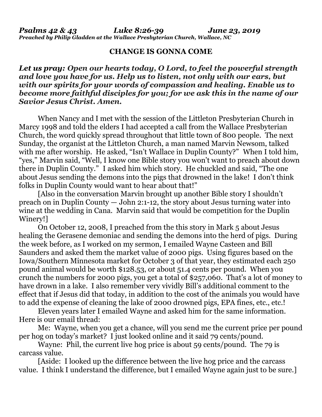## **CHANGE IS GONNA COME**

## *Let us pray: Open our hearts today, O Lord, to feel the powerful strength and love you have for us. Help us to listen, not only with our ears, but with our spirits for your words of compassion and healing. Enable us to become more faithful disciples for you; for we ask this in the name of our Savior Jesus Christ. Amen.*

When Nancy and I met with the session of the Littleton Presbyterian Church in Marcy 1998 and told the elders I had accepted a call from the Wallace Presbyterian Church, the word quickly spread throughout that little town of 800 people. The next Sunday, the organist at the Littleton Church, a man named Marvin Newsom, talked with me after worship. He asked, "Isn't Wallace in Duplin County?" When I told him, "yes," Marvin said, "Well, I know one Bible story you won't want to preach about down there in Duplin County." I asked him which story. He chuckled and said, "The one about Jesus sending the demons into the pigs that drowned in the lake! I don't think folks in Duplin County would want to hear about that!"

[Also in the conversation Marvin brought up another Bible story I shouldn't preach on in Duplin County — John 2:1-12, the story about Jesus turning water into wine at the wedding in Cana. Marvin said that would be competition for the Duplin Winery!]

On October 12, 2008, I preached from the this story in Mark 5 about Jesus healing the Gerasene demoniac and sending the demons into the herd of pigs. During the week before, as I worked on my sermon, I emailed Wayne Casteen and Bill Saunders and asked them the market value of 2000 pigs. Using figures based on the Iowa/Southern Minnesota market for October 3 of that year, they estimated each 250 pound animal would be worth \$128.53, or about 51.4 cents per pound. When you crunch the numbers for 2000 pigs, you get a total of \$257,060. That's a lot of money to have drown in a lake. I also remember very vividly Bill's additional comment to the effect that if Jesus did that today, in addition to the cost of the animals you would have to add the expense of cleaning the lake of 2000 drowned pigs, EPA fines, etc., etc.!

Eleven years later I emailed Wayne and asked him for the same information. Here is our email thread:

Me: Wayne, when you get a chance, will you send me the current price per pound per hog on today's market? I just looked online and it said 79 cents/pound.

Wayne: Phil, the current live hog price is about 59 cents/pound. The 79 is carcass value.

[Aside: I looked up the difference between the live hog price and the carcass value. I think I understand the difference, but I emailed Wayne again just to be sure.]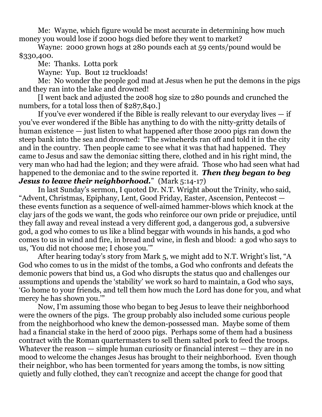Me: Wayne, which figure would be most accurate in determining how much money you would lose if 2000 hogs died before they went to market?

Wayne: 2000 grown hogs at 280 pounds each at 59 cents/pound would be \$330,400.

Me: Thanks. Lotta pork

Wayne: Yup. Bout 12 truckloads!

Me: No wonder the people god mad at Jesus when he put the demons in the pigs and they ran into the lake and drowned!

[I went back and adjusted the 2008 hog size to 280 pounds and crunched the numbers, for a total loss then of \$287,840.]

If you've ever wondered if the Bible is really relevant to our everyday lives — if you've ever wondered if the Bible has anything to do with the nitty-gritty details of human existence — just listen to what happened after those 2000 pigs ran down the steep bank into the sea and drowned: "The swineherds ran off and told it in the city and in the country. Then people came to see what it was that had happened. They came to Jesus and saw the demoniac sitting there, clothed and in his right mind, the very man who had had the legion; and they were afraid. Those who had seen what had happened to the demoniac and to the swine reported it. *Then they began to beg Jesus to leave their neighborhood.*" (Mark 5:14-17)

In last Sunday's sermon, I quoted Dr. N.T. Wright about the Trinity, who said, "Advent, Christmas, Epiphany, Lent, Good Friday, Easter, Ascension, Pentecost these events function as a sequence of well-aimed hammer-blows which knock at the clay jars of the gods we want, the gods who reinforce our own pride or prejudice, until they fall away and reveal instead a very different god, a dangerous god, a subversive god, a god who comes to us like a blind beggar with wounds in his hands, a god who comes to us in wind and fire, in bread and wine, in flesh and blood: a god who says to us, 'You did not choose me; I chose you.'"

After hearing today's story from Mark 5, we might add to N.T. Wright's list, "A God who comes to us in the midst of the tombs, a God who confronts and defeats the demonic powers that bind us, a God who disrupts the status quo and challenges our assumptions and upends the 'stability' we work so hard to maintain, a God who says, 'Go home to your friends, and tell them how much the Lord has done for you, and what mercy he has shown you.'"

Now, I'm assuming those who began to beg Jesus to leave their neighborhood were the owners of the pigs. The group probably also included some curious people from the neighborhood who knew the demon-possessed man. Maybe some of them had a financial stake in the herd of 2000 pigs. Perhaps some of them had a business contract with the Roman quartermasters to sell them salted pork to feed the troops. Whatever the reason — simple human curiosity or financial interest — they are in no mood to welcome the changes Jesus has brought to their neighborhood. Even though their neighbor, who has been tormented for years among the tombs, is now sitting quietly and fully clothed, they can't recognize and accept the change for good that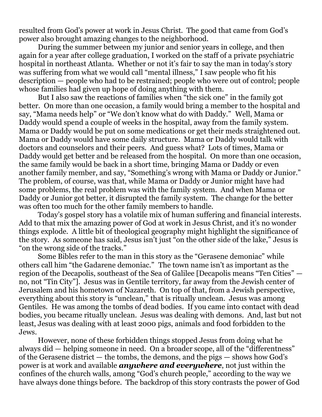resulted from God's power at work in Jesus Christ. The good that came from God's power also brought amazing changes to the neighborhood.

During the summer between my junior and senior years in college, and then again for a year after college graduation, I worked on the staff of a private psychiatric hospital in northeast Atlanta. Whether or not it's fair to say the man in today's story was suffering from what we would call "mental illness," I saw people who fit his description — people who had to be restrained; people who were out of control; people whose families had given up hope of doing anything with them.

But I also saw the reactions of families when "the sick one" in the family got better. On more than one occasion, a family would bring a member to the hospital and say, "Mama needs help" or "We don't know what do with Daddy." Well, Mama or Daddy would spend a couple of weeks in the hospital, away from the family system. Mama or Daddy would be put on some medications or get their meds straightened out. Mama or Daddy would have some daily structure. Mama or Daddy would talk with doctors and counselors and their peers. And guess what? Lots of times, Mama or Daddy would get better and be released from the hospital. On more than one occasion, the same family would be back in a short time, bringing Mama or Daddy or even another family member, and say, "Something's wrong with Mama or Daddy or Junior." The problem, of course, was that, while Mama or Daddy or Junior might have had some problems, the real problem was with the family system. And when Mama or Daddy or Junior got better, it disrupted the family system. The change for the better was often too much for the other family members to handle.

Today's gospel story has a volatile mix of human suffering and financial interests. Add to that mix the amazing power of God at work in Jesus Christ, and it's no wonder things explode. A little bit of theological geography might highlight the significance of the story. As someone has said, Jesus isn't just "on the other side of the lake," Jesus is "on the wrong side of the tracks."

Some Bibles refer to the man in this story as the "Gerasene demoniac" while others call him "the Gadarene demoniac." The town name isn't as important as the region of the Decapolis, southeast of the Sea of Galilee [Decapolis means "Ten Cities" no, not "Tin City"]. Jesus was in Gentile territory, far away from the Jewish center of Jerusalem and his hometown of Nazareth. On top of that, from a Jewish perspective, everything about this story is "unclean," that is ritually unclean. Jesus was among Gentiles. He was among the tombs of dead bodies. If you came into contact with dead bodies, you became ritually unclean. Jesus was dealing with demons. And, last but not least, Jesus was dealing with at least 2000 pigs, animals and food forbidden to the Jews.

However, none of these forbidden things stopped Jesus from doing what he always did — helping someone in need. On a broader scope, all of the "differentness" of the Gerasene district — the tombs, the demons, and the pigs — shows how God's power is at work and available *anywhere and everywhere*, not just within the confines of the church walls, among "God's church people," according to the way we have always done things before. The backdrop of this story contrasts the power of God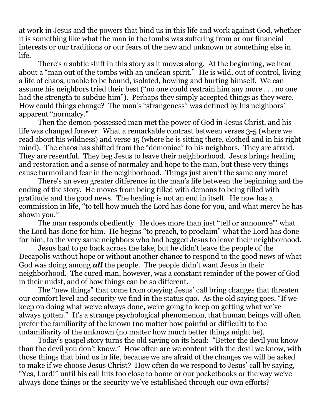at work in Jesus and the powers that bind us in this life and work against God, whether it is something like what the man in the tombs was suffering from or our financial interests or our traditions or our fears of the new and unknown or something else in life.

There's a subtle shift in this story as it moves along. At the beginning, we hear about a "man out of the tombs with an unclean spirit." He is wild, out of control, living a life of chaos, unable to be bound, isolated, howling and hurting himself. We can assume his neighbors tried their best ("no one could restrain him any more . . . no one had the strength to subdue him"). Perhaps they simply accepted things as they were. How could things change? The man's "strangeness" was defined by his neighbors' apparent "normalcy."

Then the demon-possessed man met the power of God in Jesus Christ, and his life was changed forever. What a remarkable contrast between verses 3-5 (where we read about his wildness) and verse 15 (where he is sitting there, clothed and in his right mind). The chaos has shifted from the "demoniac" to his neighbors. They are afraid. They are resentful. They beg Jesus to leave their neighborhood. Jesus brings healing and restoration and a sense of normalcy and hope to the man, but these very things cause turmoil and fear in the neighborhood. Things just aren't the same any more!

There's an even greater difference in the man's life between the beginning and the ending of the story. He moves from being filled with demons to being filled with gratitude and the good news. The healing is not an end in itself. He now has a commission in life, "to tell how much the Lord has done for you, and what mercy he has shown you."

The man responds obediently. He does more than just "tell or announce"' what the Lord has done for him. He begins "to preach, to proclaim" what the Lord has done for him, to the very same neighbors who had begged Jesus to leave their neighborhood.

Jesus had to go back across the lake, but he didn't leave the people of the Decapolis without hope or without another chance to respond to the good news of what God was doing among *all* the people. The people didn't want Jesus in their neighborhood. The cured man, however, was a constant reminder of the power of God in their midst, and of how things can be so different.

The "new things" that come from obeying Jesus' call bring changes that threaten our comfort level and security we find in the status quo. As the old saying goes, "If we keep on doing what we've always done, we're going to keep on getting what we've always gotten." It's a strange psychological phenomenon, that human beings will often prefer the familiarity of the known (no matter how painful or difficult) to the unfamiliarity of the unknown (no matter how much better things might be).

Today's gospel story turns the old saying on its head: "Better the devil you know than the devil you don't know." How often are we content with the devil we know, with those things that bind us in life, because we are afraid of the changes we will be asked to make if we choose Jesus Christ? How often do we respond to Jesus' call by saying, "Yes, Lord!" until his call hits too close to home or our pocketbooks or the way we've always done things or the security we've established through our own efforts?